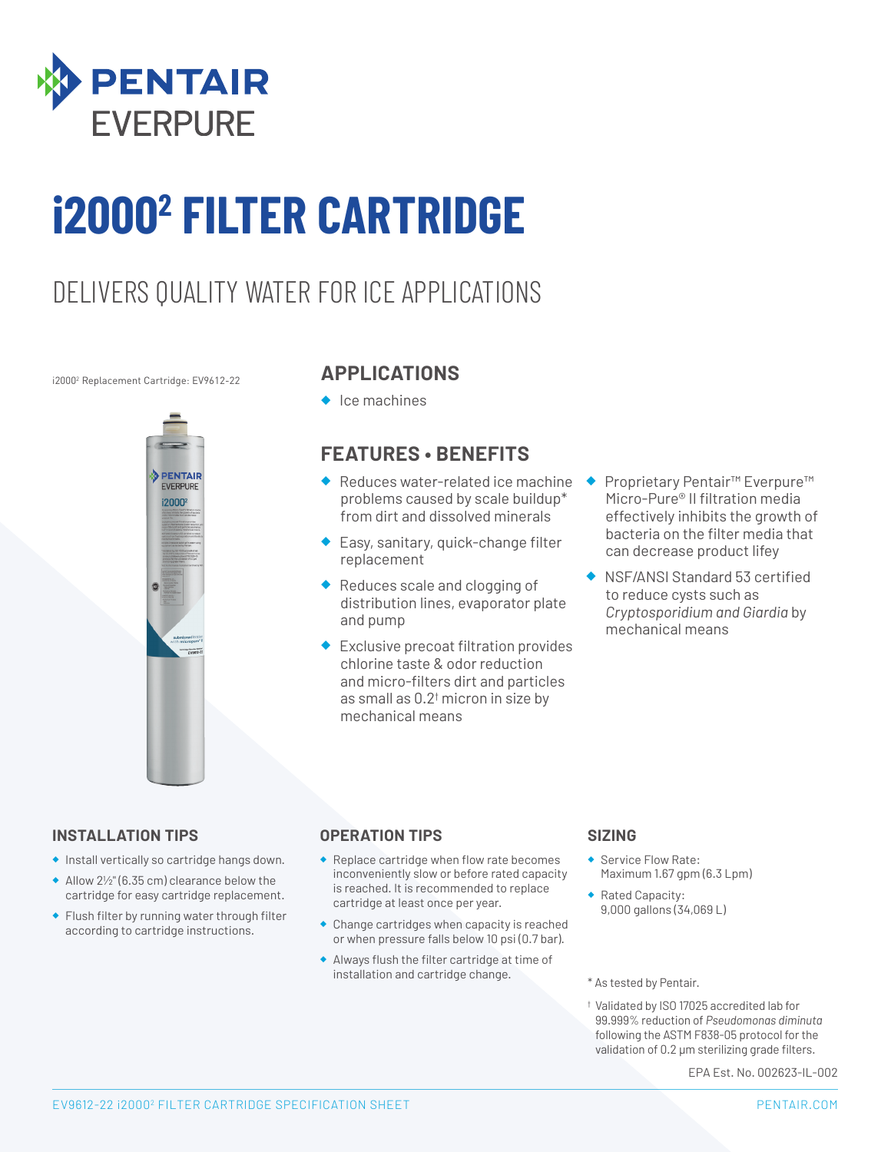

# **i20002 FILTER CARTRIDGE**

### DELIVERS QUALITY WATER FOR ICE APPLICATIONS

#### i20002 Replacement Cartridge: EV9612-22



#### **APPLICATIONS**

◆ Ice machines

#### **FEATURES • BENEFITS**

- ◆ Reduces water-related ice machine problems caused by scale buildup\* from dirt and dissolved minerals
- ◆ Easy, sanitary, quick-change filter replacement
- ◆ Reduces scale and clogging of distribution lines, evaporator plate and pump
- ◆ Exclusive precoat filtration provides chlorine taste & odor reduction and micro-filters dirt and particles as small as 0.2† micron in size by mechanical means
- ◆ Proprietary Pentair<sup>™</sup> Everpure<sup>™</sup> Micro-Pure® II filtration media effectively inhibits the growth of bacteria on the filter media that can decrease product lifey
- ◆ NSF/ANSI Standard 53 certified to reduce cysts such as *Cryptosporidium and Giardia* by mechanical means

#### **INSTALLATION TIPS**

- ◆ Install vertically so cartridge hangs down.
- ◆ Allow 2½" (6.35 cm) clearance below the cartridge for easy cartridge replacement.
- ◆ Flush filter by running water through filter according to cartridge instructions.

#### **OPERATION TIPS**

- ◆ Replace cartridge when flow rate becomes inconveniently slow or before rated capacity is reached. It is recommended to replace cartridge at least once per year.
- ◆ Change cartridges when capacity is reached or when pressure falls below 10 psi (0.7 bar).
- ◆ Always flush the filter cartridge at time of installation and cartridge change.

#### **SIZING**

- ◆ Service Flow Rate: Maximum 1.67 gpm (6.3 Lpm)
- ◆ Rated Capacity: 9,000 gallons (34,069 L)

\* As tested by Pentair.

† Validated by ISO 17025 accredited lab for 99.999% reduction of *Pseudomonas diminuta* following the ASTM F838-05 protocol for the validation of 0.2 μm sterilizing grade filters.